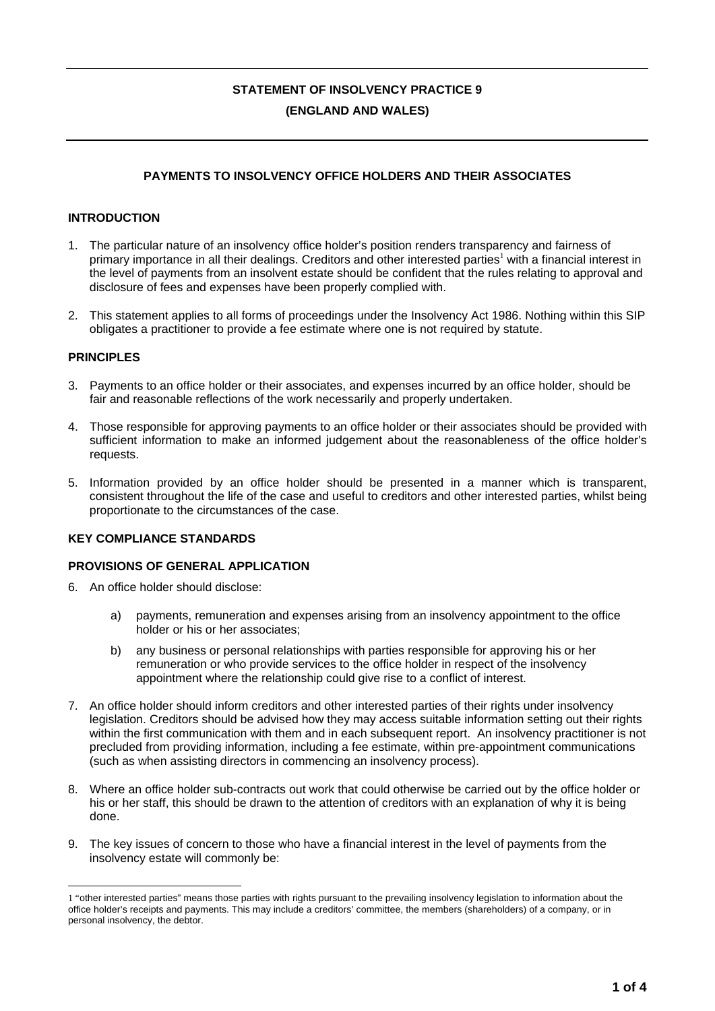# **STATEMENT OF INSOLVENCY PRACTICE 9 (ENGLAND AND WALES)**

# **PAYMENTS TO INSOLVENCY OFFICE HOLDERS AND THEIR ASSOCIATES**

# **INTRODUCTION**

- 1. The particular nature of an insolvency office holder's position renders transparency and fairness of primary importance in all their dealings. Creditors and other interested parties<sup>1</sup> with a financial interest in the level of payments from an insolvent estate should be confident that the rules relating to approval and disclosure of fees and expenses have been properly complied with.
- 2. This statement applies to all forms of proceedings under the Insolvency Act 1986. Nothing within this SIP obligates a practitioner to provide a fee estimate where one is not required by statute.

#### **PRINCIPLES**

- 3. Payments to an office holder or their associates, and expenses incurred by an office holder, should be fair and reasonable reflections of the work necessarily and properly undertaken.
- 4. Those responsible for approving payments to an office holder or their associates should be provided with sufficient information to make an informed judgement about the reasonableness of the office holder's requests.
- 5. Information provided by an office holder should be presented in a manner which is transparent, consistent throughout the life of the case and useful to creditors and other interested parties, whilst being proportionate to the circumstances of the case.

# **KEY COMPLIANCE STANDARDS**

#### **PROVISIONS OF GENERAL APPLICATION**

- 6. An office holder should disclose:
	- a) payments, remuneration and expenses arising from an insolvency appointment to the office holder or his or her associates;
	- b) any business or personal relationships with parties responsible for approving his or her remuneration or who provide services to the office holder in respect of the insolvency appointment where the relationship could give rise to a conflict of interest.
- 7. An office holder should inform creditors and other interested parties of their rights under insolvency legislation. Creditors should be advised how they may access suitable information setting out their rights within the first communication with them and in each subsequent report. An insolvency practitioner is not precluded from providing information, including a fee estimate, within pre-appointment communications (such as when assisting directors in commencing an insolvency process).
- 8. Where an office holder sub-contracts out work that could otherwise be carried out by the office holder or his or her staff, this should be drawn to the attention of creditors with an explanation of why it is being done.
- 9. The key issues of concern to those who have a financial interest in the level of payments from the insolvency estate will commonly be:

 $\overline{a}$ 1 "other interested parties" means those parties with rights pursuant to the prevailing insolvency legislation to information about the office holder's receipts and payments. This may include a creditors' committee, the members (shareholders) of a company, or in personal insolvency, the debtor.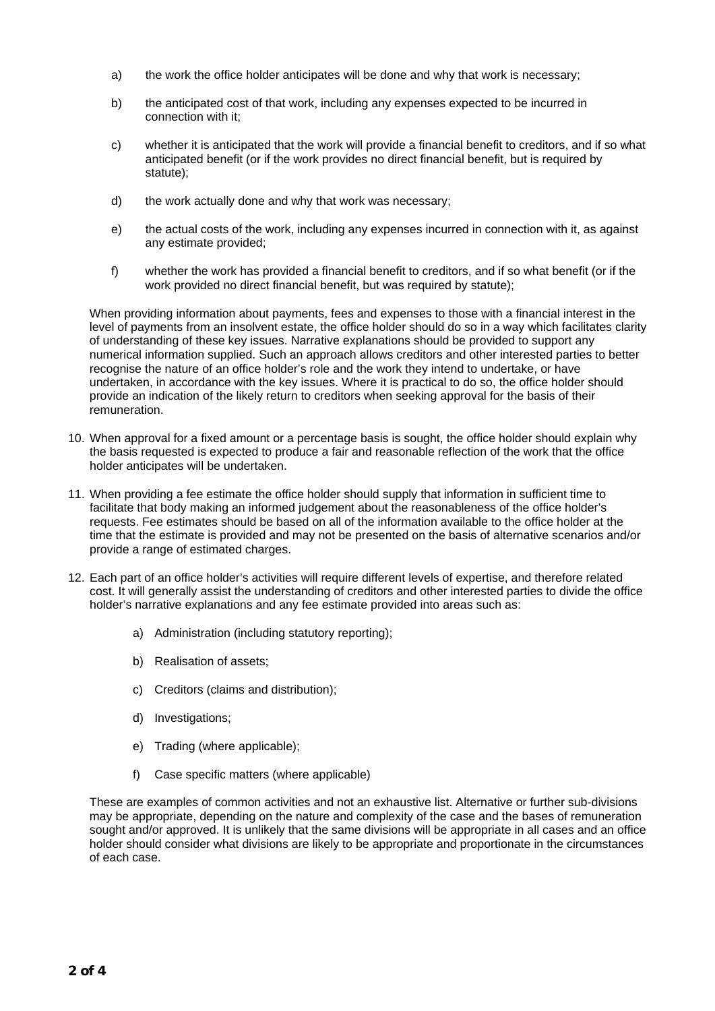- a) the work the office holder anticipates will be done and why that work is necessary;
- b) the anticipated cost of that work, including any expenses expected to be incurred in connection with it;
- c) whether it is anticipated that the work will provide a financial benefit to creditors, and if so what anticipated benefit (or if the work provides no direct financial benefit, but is required by statute);
- d) the work actually done and why that work was necessary;
- e) the actual costs of the work, including any expenses incurred in connection with it, as against any estimate provided;
- f) whether the work has provided a financial benefit to creditors, and if so what benefit (or if the work provided no direct financial benefit, but was required by statute);

When providing information about payments, fees and expenses to those with a financial interest in the level of payments from an insolvent estate, the office holder should do so in a way which facilitates clarity of understanding of these key issues. Narrative explanations should be provided to support any numerical information supplied. Such an approach allows creditors and other interested parties to better recognise the nature of an office holder's role and the work they intend to undertake, or have undertaken, in accordance with the key issues. Where it is practical to do so, the office holder should provide an indication of the likely return to creditors when seeking approval for the basis of their remuneration.

- 10. When approval for a fixed amount or a percentage basis is sought, the office holder should explain why the basis requested is expected to produce a fair and reasonable reflection of the work that the office holder anticipates will be undertaken.
- 11. When providing a fee estimate the office holder should supply that information in sufficient time to facilitate that body making an informed judgement about the reasonableness of the office holder's requests. Fee estimates should be based on all of the information available to the office holder at the time that the estimate is provided and may not be presented on the basis of alternative scenarios and/or provide a range of estimated charges.
- 12. Each part of an office holder's activities will require different levels of expertise, and therefore related cost. It will generally assist the understanding of creditors and other interested parties to divide the office holder's narrative explanations and any fee estimate provided into areas such as:
	- a) Administration (including statutory reporting);
	- b) Realisation of assets;
	- c) Creditors (claims and distribution);
	- d) Investigations;
	- e) Trading (where applicable);
	- f) Case specific matters (where applicable)

These are examples of common activities and not an exhaustive list. Alternative or further sub-divisions may be appropriate, depending on the nature and complexity of the case and the bases of remuneration sought and/or approved. It is unlikely that the same divisions will be appropriate in all cases and an office holder should consider what divisions are likely to be appropriate and proportionate in the circumstances of each case.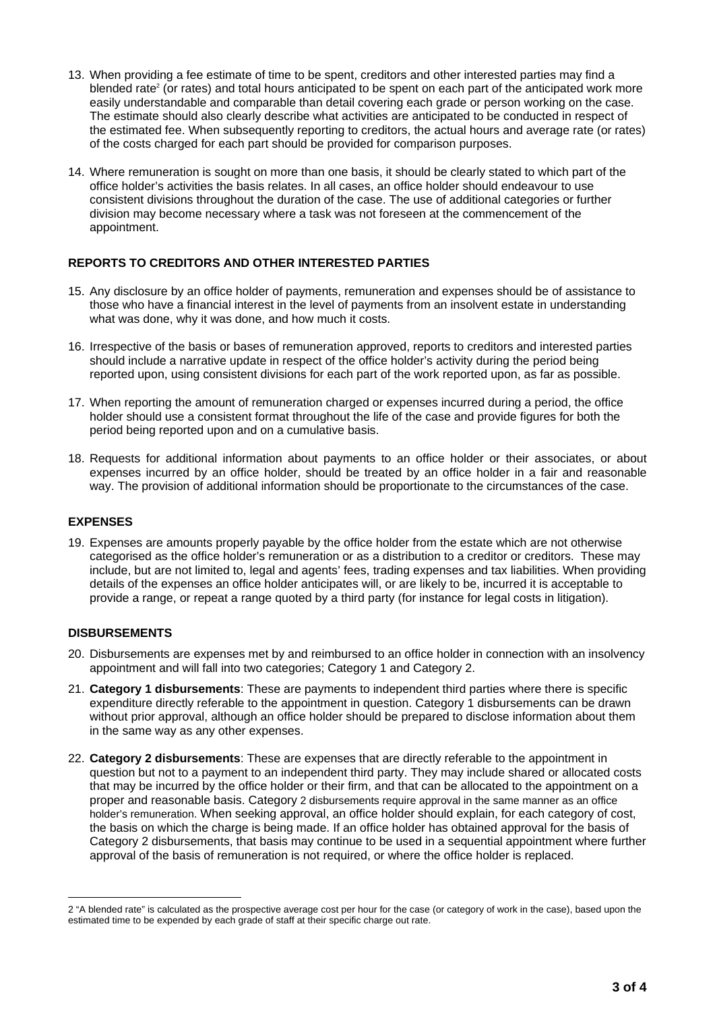- 13. When providing a fee estimate of time to be spent, creditors and other interested parties may find a blended rate<sup>2</sup> (or rates) and total hours anticipated to be spent on each part of the anticipated work more easily understandable and comparable than detail covering each grade or person working on the case. The estimate should also clearly describe what activities are anticipated to be conducted in respect of the estimated fee. When subsequently reporting to creditors, the actual hours and average rate (or rates) of the costs charged for each part should be provided for comparison purposes.
- 14. Where remuneration is sought on more than one basis, it should be clearly stated to which part of the office holder's activities the basis relates. In all cases, an office holder should endeavour to use consistent divisions throughout the duration of the case. The use of additional categories or further division may become necessary where a task was not foreseen at the commencement of the appointment.

## **REPORTS TO CREDITORS AND OTHER INTERESTED PARTIES**

- 15. Any disclosure by an office holder of payments, remuneration and expenses should be of assistance to those who have a financial interest in the level of payments from an insolvent estate in understanding what was done, why it was done, and how much it costs.
- 16. Irrespective of the basis or bases of remuneration approved, reports to creditors and interested parties should include a narrative update in respect of the office holder's activity during the period being reported upon, using consistent divisions for each part of the work reported upon, as far as possible.
- 17. When reporting the amount of remuneration charged or expenses incurred during a period, the office holder should use a consistent format throughout the life of the case and provide figures for both the period being reported upon and on a cumulative basis.
- 18. Requests for additional information about payments to an office holder or their associates, or about expenses incurred by an office holder, should be treated by an office holder in a fair and reasonable way. The provision of additional information should be proportionate to the circumstances of the case.

## **EXPENSES**

19. Expenses are amounts properly payable by the office holder from the estate which are not otherwise categorised as the office holder's remuneration or as a distribution to a creditor or creditors. These may include, but are not limited to, legal and agents' fees, trading expenses and tax liabilities. When providing details of the expenses an office holder anticipates will, or are likely to be, incurred it is acceptable to provide a range, or repeat a range quoted by a third party (for instance for legal costs in litigation).

## **DISBURSEMENTS**

- 20. Disbursements are expenses met by and reimbursed to an office holder in connection with an insolvency appointment and will fall into two categories; Category 1 and Category 2.
- 21. **Category 1 disbursements**: These are payments to independent third parties where there is specific expenditure directly referable to the appointment in question. Category 1 disbursements can be drawn without prior approval, although an office holder should be prepared to disclose information about them in the same way as any other expenses.
- 22. **Category 2 disbursements**: These are expenses that are directly referable to the appointment in question but not to a payment to an independent third party. They may include shared or allocated costs that may be incurred by the office holder or their firm, and that can be allocated to the appointment on a proper and reasonable basis. Category 2 disbursements require approval in the same manner as an office holder's remuneration. When seeking approval, an office holder should explain, for each category of cost, the basis on which the charge is being made. If an office holder has obtained approval for the basis of Category 2 disbursements, that basis may continue to be used in a sequential appointment where further approval of the basis of remuneration is not required, or where the office holder is replaced.

 $\overline{a}$ 2 "A blended rate" is calculated as the prospective average cost per hour for the case (or category of work in the case), based upon the estimated time to be expended by each grade of staff at their specific charge out rate.